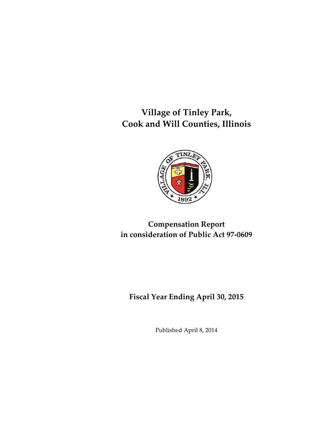**Village of Tinley Park, Cook and Will Counties, Illinois**



# **Compensation Report in consideration of Public Act 97-0609**

**Fiscal Year Ending April 30, 2015**

Published April 8, 2014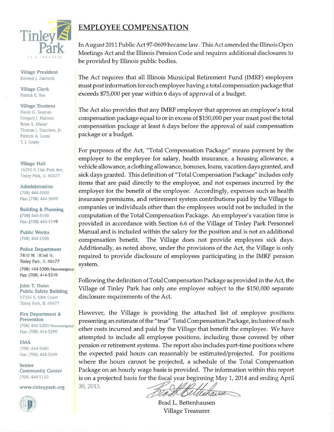

Village President Edward J. Zabrocki

Village Clerk Patrick E. Rea

Village Trustees David G. Seaman Gregory J. Hannon Brian S. Maher Thomas J. Staunton, Jr. Patricia A. Leoni T. J. Grady

Village Hall 16250 S. Oak Park Ave. Tinley Park, IL 60477

Administration (708) 444-5000 Fax: (708) 444-5099

Building & Planning (708) 444-5100 Fax: (708) 444-5199

Public Works (708) 444-5500

Police Department 7850 W. 183rd St. Tinley Park, IL 60477 system.

(708) 444-5300/ Non-emergency Fax: (708) 444-5399

John T. Dunn Public Safety Building 17355 S. 68th Court Tinley Park, IL 60477

Fire Department & Prevention (708) 444-5200/Non-emergency Fax: (708) 444-5299

EMA (708) 444-5600 Fax: (708) 444-5699

Senior Community Center (708) 444-5150

www.tinleypark.org



## **EMPLOYEE COMPENSATION**

In August 2011 Public Act 97-0609 became law. This Act amended the Illinois Open Meetings Act and the Illinois Pension Code and requires additional disclosures to be provided by Illinois public bodies.

The Act requires that all Illinois Municipal Retirement Fund (IMRF) employers must post information for each employee having a total compensation package that exceeds \$75,000 per year within 6 days of approval of a budget.

The Act also provides that any IMRF employer that approves an employee's total compensation package equal to or in excess of \$150,000 per year must post the total compensation package at least 6 days before the approval of said compensation package or a budget.

For purposes of the Act, "Total Compensation Package" means payment by the employer to the employee for salary, health insurance, a housing allowance, a vehicle allowance, a clothing allowance, bonuses, loans, vacation days granted, and sick days granted. This definition of "Total Compensation Package" includes only items that are paid directly to the employee, and not expenses incurred by the employer for the benefit of the employee. Accordingly, expenses such as health insurance premiums, and retirement system contributions paid by the Village to companies or individuals other than the employees would not be included in the computation of the Total Compensation Package. An employee's vacation time is provided in accordance with Section 6.6 of the Village of Tinley Park Personnel Manual and is included within the salary for the position and is not an additional compensation benefit. The Village does not provide employees sick days. Additionally, as noted above, under the provisions of the Act, the Village is only required to provide disclosure of employees participating in the IMRF pension

Following the definition of Total Compensation Package as provided in the Act, the Village of Tinley Park has only one employee subject to the \$150,000 separate disclosure requirements of the Act.

However, the Village is providing the attached list of employee positions presenting an estimate of the "true" Total Compensation Package, inclusive of such other costs incurred and paid by the Village that benefit the employee. We have attempted to include all employee positions, including those covered by other pension or retirement systems. The report also includes part-time positions where the expected paid hours can reasonably be estimated/projected. For positions where the hours cannot be projected, a schedule of the Total Compensation Package on an hourly wage basis is provided. The information within this report is on a projected basis for the fiscal year beginning May 1, 2014 and ending April 30, 2015.

RothBelle mise

Brad L. Bettenhausen Village Treasurer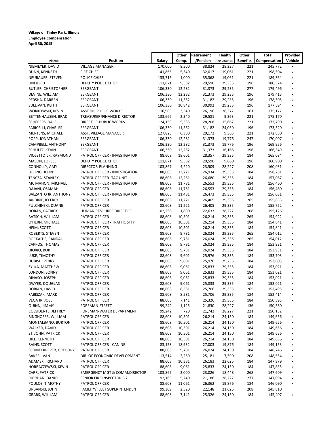#### **Village of Tinley Park, Illinois Employee Compensation April 30, 2015**

|                            |                                          |         | Other  | <b>Retirement</b> | Health    | Other           | Total        | Provided |
|----------------------------|------------------------------------------|---------|--------|-------------------|-----------|-----------------|--------------|----------|
| Name                       | Position                                 | Salary  | Comp.  | /Pension          | Insurance | <b>Benefits</b> | Compensation | Vehicle  |
| NIEMEYER, DAVID            | <b>VILLAGE MANAGER</b>                   | 170,000 | 8,500  | 38,824            | 28,227    | 221             | 245,772      | x        |
| DUNN, KENNETH              | <b>FIRE CHIEF</b>                        | 141,865 | 5,340  | 32,017            | 19,061    | 221             | 198,504      | x        |
| NEUBAUER, STEVEN           | POLICE CHIEF                             | 133,715 | 1,000  | 35,368            | 19,061    | 221             | 189,364      | x        |
| <b>UNFILLED</b>            | <b>DEPUTY POLICE CHIEF</b>               | 111,871 | 9,582  | 29,590            | 29,335    | 196             | 180,574      | x        |
| <b>BUTLER, CHRISTOPHER</b> | SERGEANT                                 | 106,330 | 12,282 | 31,373            | 29,235    | 277             | 179,496      | x        |
| DEVINE, WILLIAM            | SERGEANT                                 | 106,330 | 12,282 | 31,373            | 29,235    | 196             | 179,415      | x        |
| PERSHA, DARREN             | SERGEANT                                 | 106,330 | 11,562 | 31,182            | 29,235    | 196             | 178,505      | x        |
| SULLIVAN, KEITH            | SERGEANT                                 | 106,330 | 10,842 | 30,992            | 29,235    | 196             | 177,594      | x        |
| WORKOWSKI, KEVIN           | <b>ASST DIR PUBLIC WORKS</b>             | 116,903 | 3,540  | 26,196            | 28,377    | 161             | 175,177      | x        |
| BETTENHAUSEN, BRAD         | TREASURER/FINANCE DIRECTOR               | 133,666 | 2,340  | 29,581            | 9,363     | 221             | 175,170      |          |
| SCHEPERS, DALE             | DIRECTOR-PUBLIC WORKS                    | 124,159 | 5,535  | 28,208            | 15,667    | 221             | 173,790      | x        |
| FARICELLI, CHARLES         | SERGEANT                                 | 106,330 | 11,562 | 31,182            | 24,050    | 196             | 173,320      | x        |
| MERTENS, MICHAEL           | ASST. VILLAGE MANAGER                    | 127,825 | 6,300  | 29,172            | 9,363     | 221             | 172,880      | x        |
| POPP, JONATHAN             | SERGEANT                                 | 106,330 | 12,282 | 31,373            | 19,776    | 247             | 170,007      | x        |
| CAMPBELL, ANTHONY          | SERGEANT                                 | 106,330 | 12,282 | 31,373            | 19,776    | 196             | 169,956      | x        |
| SCHULTZ, KEVIN             | SERGEANT                                 | 106,330 | 12,282 | 31,373            | 16,168    | 196             | 166,349      | x        |
| VIOLETTO JR, RAYMOND       | PATROL OFFICER - INVESTIGATOR            | 88,608  | 18,601 | 28,357            | 29,335    | 184             | 165,084      | x        |
| MASON, LORELEI             | DEPUTY POLICE CHIEF                      | 111,871 | 9,582  | 29,590            | 9,660     | 196             | 160,900      | x        |
| CONNOLLY, AMY              | DIRECTOR-PLANNING                        | 103,867 | 4,220  | 23,509            | 28,227    | 208             | 160,031      | x        |
| <b>BOLING, JOHN</b>        | PATROL OFFICER - INVESTIGATOR            | 88,608  | 13,221 | 26,934            | 29,335    | 184             | 158,281      | x        |
| TENCZA, STANLEY            | PATROL OFFICER - TAC UNIT                | 88,608  | 12,261 | 26,680            | 29,335    | 184             | 157,067      | x        |
| MC MAHON, MICHAEL          | PATROL OFFICER - INVESTIGATOR            | 88,608  | 11,781 | 26,553            | 29,335    | 184             | 156,460      | x        |
| DAJANI, OSAMAH             | PATROL OFFICER                           | 88,608  | 11,781 | 26,553            | 29,335    | 184             | 156,460      | x        |
| BALZANTO JR, ANTHONY       | PATROL OFFICER - INVESTIGATOR            | 88,608  | 11,481 | 26,473            | 29,335    | 184             | 156,081      | x        |
| JARDINE, JEFFREY           | PATROL OFFICER                           | 88,608  | 11,221 | 26,405            | 29,335    | 265             | 155,833      | x        |
| PULCHINSKI, DUANE          | PATROL OFFICER                           | 88,608  | 11,221 | 26,405            | 29,335    | 184             | 155,752      | x        |
| HORAN, PATRICK             | HUMAN RESOURCE DIRECTOR                  | 102,258 | 1,800  | 22,633            | 28,227    | 208             | 155,126      |          |
| BATSCH, WILLIAM            | PATROL OFFICER                           | 88,608  | 10,501 | 26,214            | 29,335    | 265             | 154,922      | x        |
| O'HERN, MICHAEL            | PATROL OFFICER - TRAFFIC SFTY            | 88,608  | 10,501 | 26,214            | 29,335    | 184             | 154,841      | x        |
| HEIM, SCOTT                | PATROL OFFICER                           | 88,608  | 10,501 | 26,214            | 29,335    | 184             | 154,841      | x        |
| ROBERTS, STEVEN            | PATROL OFFICER                           | 88,608  | 9,781  | 26,024            | 29,335    | 265             | 154,012      | x        |
| ROCKAITIS, RANDALL         | PATROL OFFICER                           | 88,608  | 9,781  | 26,024            | 29,335    | 265             | 154,012      | x        |
| CAPPOS, THOMAS             | PATROL OFFICER                           | 88,608  | 9,781  | 26,024            | 29,335    | 184             | 153,931      | x        |
| DIORIO, BOB                | PATROL OFFICER                           | 88,608  | 9,781  | 26,024            | 29,335    | 184             | 153,931      | x        |
| LUKE, TIMOTHY              | PATROL OFFICER                           | 88,608  | 9,601  | 25,976            | 29,335    | 184             | 153,703      | x        |
| DUBISH, PERRY              | PATROL OFFICER                           | 88,608  | 9,601  | 25,976            | 29,235    | 184             | 153,603      | x        |
| ZYLKA, MATTHEW             | PATROL OFFICER                           | 88,608  | 9,061  | 25,833            | 29,335    | 184             | 153,021      | x        |
| LONDON, SONNY              | PATROL OFFICER                           | 88,608  | 9,061  | 25,833            | 29,335    | 184             | 153,021      | x        |
| DINASO, JOSEPH             | PATROL OFFICER                           | 88,608  | 9,061  | 25,833            | 29,335    | 184             | 153,021      | x        |
| DWYER, DOUGLAS             | PATROL OFFICER                           | 88,608  | 9,061  | 25,833            | 29,335    | 184             | 153,021      | x        |
| DORIAN, DAVID              | PATROL OFFICER                           | 88,608  | 8,581  | 25,706            | 29,335    | 265             | 152,495      | x        |
| FABISZAK, MARK             | PATROL OFFICER                           | 88,608  | 8,581  | 25,706            | 29,335    | 184             | 152,414      | x        |
| VEGA JR, JOSE              | PATROL OFFICER                           | 88,608  | 7,141  | 25,326            | 29,335    | 184             | 150,593      | x        |
| QUINN, JIMMY               | FOREMAN-STREET                           | 99,242  | 1,125  | 21,830            | 28,227    | 136             | 150,560      |          |
| COSSIDENTE, JEFFREY        | FOREMAN-WATER DEPARTMENT                 | 99,242  | 720    | 21,742            | 28,227    | 221             | 150,152      |          |
| RINGHOFER, WILLIAM         | PATROL OFFICER                           | 88,608  | 10,501 | 26,214            | 24,150    | 184             | 149,656      | x        |
| MONTALBANO, BURTON         | PATROL OFFICER                           | 88,608  | 10,501 | 26,214            | 24,150    | 184             | 149,656      | x        |
| WALKER, DAVID              | PATROL OFFICER                           | 88,608  | 10,501 | 26,214            | 24,150    | 184             | 149,656      | x        |
| ST. JOHN, PATRICK          | PATROL OFFICER                           | 88,608  | 10,501 | 26,214            | 24,150    | 184             | 149,656      | x        |
| HILL, KENNETH              | PATROL OFFICER                           | 88,608  | 10,501 | 26,214            | 24,150    | 184             | 149,656      | x        |
| RAINS, SCOTT               | PATROL OFFICER - CANINE                  | 83,158  | 18,932 | 27,003            | 19,876    | 184             | 149,153      | x        |
| SCHMECKPEPER, GREGORY      | PATROL OFFICER                           | 88,608  | 9,781  | 26,024            | 24,150    | 184             | 148,746      | x        |
| BAKER, IVAN                | DIR. OF ECONOMIC DEVELOPMENT             | 113,514 | 2,260  | 25,181            | 7,390     | 208             | 148,554      | x        |
| ADAMSKI, RICHARD           | PATROL OFFICER                           | 88,608  | 10,381 | 26,183            | 22,625    | 184             | 147,979      | x        |
| HORBACZEWSKI, KEVIN        | PATROL OFFICER                           | 88,608  | 9,061  | 25,833            | 24,150    | 184             | 147,835      | x        |
| CARR, PATRICK              | <b>EMERGENCY MGT &amp; COMM.DIRECTOR</b> | 103,867 | 2,000  | 23,026            | 18,448    | 268             | 147,609      | x        |
| RIORDAN, DANIEL            | SENIOR FIRE INSPECTOR F-2                | 92,165  | 5,240  | 21,186            | 28,227    | 277             | 147,094      | x        |
| POULOS, TIMOTHY            | PATROL OFFICER                           | 88,608  | 11,061 | 26,362            | 19,876    | 184             | 146,090      | x        |
| URBANSKI, JOHN             | FACILITY/FLEET SUPERINTENDENT            | 99,309  | 2,520  | 22,148            | 21,625    | 208             | 145,810      |          |
| GRABS, WILLIAM             | PATROL OFFICER                           | 88,608  | 7,141  | 25,326            | 24,150    | 184             | 145,407      | x        |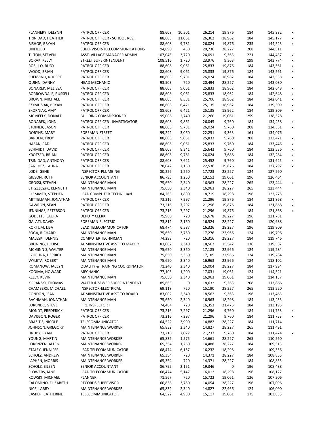| FLANNERY, DELYNN        | PATROL OFFICER                            | 88,608  | 10,501 | 26,214 | 19,876 | 184 | 145,382 | X |
|-------------------------|-------------------------------------------|---------|--------|--------|--------|-----|---------|---|
| TRINIDAD, HEATHER       | PATROL OFFICER - SCHOOL RES.              | 88,608  | 11,061 | 26,362 | 18,962 | 184 | 145,177 | X |
| <b>BISHOP, BRYAN</b>    | PATROL OFFICER                            | 88,608  | 9,781  | 26,024 | 19,876 | 235 | 144,523 | x |
| UNFILLED                | SUPERVISOR-TELECOMMUNICATIONS             | 94,890  | 450    | 20,736 | 28,227 | 208 | 144,511 |   |
| TILTON, STEVEN          | ASST. VILLAGE MANAGER ADMIN               | 107,043 | 3,720  | 24,091 | 9,363  | 221 | 144,437 | X |
| <b>BORAK, KELLY</b>     | <b>STREET SUPERINTENDENT</b>              | 108,516 | 1,720  | 23,976 | 9,363  | 199 | 143,774 | X |
|                         |                                           |         |        |        |        | 184 |         |   |
| ROSILLO, RUDY           | PATROL OFFICER                            | 88,608  | 9,061  | 25,833 | 19,876 |     | 143,561 | x |
| WOOD, BRIAN             | PATROL OFFICER                            | 88,608  | 9,061  | 25,833 | 19,876 | 184 | 143,561 | X |
| SHERVINO, ROBERT        | PATROL OFFICER                            | 88,608  | 9,781  | 26,024 | 18,962 | 184 | 143,558 | X |
| QUINN, DANNY            | <b>HEAD MECHANIC</b>                      | 93,503  | 720    | 20,494 | 28,227 | 136 | 143,080 |   |
| BONAREK, MELISSA        | PATROL OFFICER                            | 88,608  | 9,061  | 25,833 | 18,962 | 184 | 142,648 | X |
| BORROWDALE, RUSSELL     | PATROL OFFICER                            | 88,608  | 9,061  | 25,833 | 18,962 | 184 | 142,648 | X |
| BROWN, MICHAEL          | PATROL OFFICER                            | 88,608  | 8,581  | 25,706 | 18,962 | 184 | 142,041 | x |
| SZYMUSIAK, BRYAN        | PATROL OFFICER                            | 88,608  | 6,421  | 25,135 | 18,962 | 184 | 139,309 | x |
| SKORNIAK, AMY           | PATROL OFFICER                            | 88,608  | 6,421  | 25,135 | 18,962 | 184 | 139,309 | x |
| MC NEELY, DONALD        | <b>BUILDING COMMISSIONER</b>              | 95,008  | 2,740  | 21,260 | 19,061 | 259 | 138,328 |   |
| <b>BONAREK, JOHN</b>    | PATROL OFFICER - INVESTIGATOR             | 88,608  | 9,861  | 26,045 | 9,760  | 184 | 134,458 | X |
| STOINER, JASON          | PATROL OFFICER                            | 88,608  | 9,781  | 26,024 | 9,760  | 208 | 134,381 | x |
| DOBYNS, MARY            | FOREMAN-STREET                            | 99,242  | 3,060  | 22,251 | 9,363  | 161 | 134,076 |   |
| <b>BARDEN, TROY</b>     | PATROL OFFICER                            | 88,608  | 9,061  | 25,833 | 9,760  | 208 | 133,471 |   |
|                         |                                           |         |        |        |        |     |         | X |
| HASAN, FADI             | PATROL OFFICER                            | 88,608  | 9,061  | 25,833 | 9,760  | 184 | 133,446 | X |
| SCHMIDT, DAVID          | PATROL OFFICER                            | 88,608  | 8,341  | 25,643 | 9,760  | 184 | 132,536 | X |
| KROTSER, BRIAN          | PATROL OFFICER                            | 88,608  | 9,781  | 26,024 | 7,688  | 184 | 132,284 | X |
| TRINIDAD, ANTHONY       | PATROL OFFICER                            | 88,608  | 7,621  | 25,452 | 9,760  | 184 | 131,625 | x |
| SANCHEZ, LAURA          | PATROL OFFICER                            | 78,042  | 7,160  | 22,536 | 19,876 | 184 | 127,797 | X |
| LODE, GENE              | INSPECTOR-PLUMBING                        | 80,226  | 1,260  | 17,723 | 28,227 | 124 | 127,560 |   |
| GIBSON, RUTH            | SENIOR ACCOUNTANT                         | 86,795  | 1,260  | 19,152 | 19,061 | 196 | 126,464 |   |
| GROSSI, STEVEN          | <b>MAINTENANCE MAN</b>                    | 75,650  | 2,340  | 16,963 | 28,227 | 265 | 123,444 | x |
| STRZELCZYK, KENNETH     | <b>MAINTENANCE MAN</b>                    | 75,650  | 2,340  | 16,963 | 28,227 | 265 | 123,444 |   |
| CLEMMER, STEPHEN        | LEAD COMPUTER TECHNICIAN                  | 84,263  | 1,800  | 18,719 | 18,298 | 196 | 123,275 |   |
| MITTELMAN, JONATHAN     | PATROL OFFICER                            | 73,216  | 7,297  | 21,296 | 19,876 | 184 | 121,868 | X |
| GAWRON, SEAN            | PATROL OFFICER                            | 73,216  | 7,297  | 21,296 | 19,876 | 184 | 121,868 | X |
| JENNINGS, PETERSON      | PATROL OFFICER                            | 73,216  | 7,297  | 21,296 | 19,876 | 184 | 121,868 | x |
|                         | <b>DEPUTY CLERK</b>                       |         | 720    |        |        |     |         |   |
| GODETTE, LAURA          |                                           | 75,960  |        | 16,678 | 28,227 | 196 | 121,781 |   |
| GALATI, DAVID           | FOREMAN-ELECTRIC                          | 73,812  | 2,160  | 16,524 | 28,227 | 265 | 120,988 |   |
| KORTUM, LISA            | LEAD TELECOMMUNICATOR                     | 68,474  | 6,587  | 16,326 | 28,227 | 196 | 119,809 |   |
| SOGA, RICHARD           | <b>MAINTENANCE MAN</b>                    | 75,650  | 3,780  | 17,276 | 22,966 | 124 | 119,796 |   |
| MALESKI, DENNIS         | COMPUTER TECHNICIAN                       | 74,298  | 720    | 16,316 | 28,227 | 184 | 119,746 |   |
| BRUNING, LOUISE         | ADMINISTRATIVE ASST TO MAYOR              | 83,002  | 2,340  | 18,562 | 15,542 | 136 | 119,582 |   |
| MC GINNIS, WALTER       | <b>MAINTENANCE MAN</b>                    | 75,650  | 3,360  | 17,185 | 22,966 | 124 | 119,284 |   |
| <b>CZUCHRA, DERRICK</b> | <b>MAINTENANCE MAN</b>                    | 75,650  | 3,360  | 17,185 | 22,966 | 124 | 119,284 |   |
| WYLETA, ROBERT          | <b>MAINTENANCE MAN</b>                    | 75,650  | 2,340  | 16,963 | 22,966 | 184 | 118,102 |   |
| ROMANOW, JACLYN         | <b>QUALITY &amp; TRAINING COORDINATOR</b> | 71,240  | 2,340  | 16,004 | 28,227 | 184 | 117,994 |   |
| KOOIMA, HOWARD          | MECHANIC                                  | 77,106  | 1,200  | 17,031 | 19,061 | 124 | 114,521 |   |
| KELLY, KEVIN            | MAINTENANCE MAN                           | 75,650  | 2,340  | 16,963 | 19,061 | 124 | 114,137 |   |
| KOPANSKI, THOMAS        | WATER & SEWER SUPERINTENDENT              | 85,663  | 0      | 18,632 | 9,363  | 208 | 113,866 |   |
| CHAMBERS, MICHAEL       | INSPECTOR-ELECTRICAL                      | 69,118  | 720    | 15,190 | 28,227 | 265 | 113,520 |   |
| CONDON, JEAN            | ADMINISTRATIVE ASST TO BOARD              | 83,002  | 2,340  | 18,562 | 9,363  | 196 | 113,463 |   |
|                         |                                           |         |        |        |        |     |         |   |
| BACHMAN, JONATHAN       | <b>MAINTENANCE MAN</b>                    | 75,650  | 2,340  | 16,963 | 18,298 | 184 | 113,433 |   |
| LORENDO, STEVE          | FIRE INSPECTOR I                          | 74,464  | 720    | 16,353 | 21,475 | 184 | 113,195 |   |
| MONDT, FREDERICK        | PATROL OFFICER                            | 73,216  | 7,297  | 21,296 | 9,760  | 184 | 111,753 | X |
| DAVISSON, ROGER         | PATROL OFFICER                            | 73,216  | 7,297  | 21,296 | 9,760  | 184 | 111,753 | x |
| <b>BRAZITIS, NICOLE</b> | TELECOMMUNICATOR                          | 64,522  | 3,900  | 14,882 | 28,227 | 184 | 111,714 |   |
| JOHNSON, GREGORY        | <b>MAINTENANCE WORKER</b>                 | 65,832  | 2,340  | 14,827 | 28,227 | 265 | 111,491 |   |
| HRUBY, RYAN             | PATROL OFFICER                            | 73,216  | 7,077  | 21,237 | 9,760  | 184 | 111,474 | x |
| YOUNG, MARTIN           | <b>MAINTENANCE WORKER</b>                 | 65,832  | 1,575  | 14,661 | 28,227 | 265 | 110,560 |   |
| LORENZEN, ALLEN         | <b>MAINTENANCE WORKER</b>                 | 65,354  | 1,260  | 14,488 | 28,227 | 184 | 109,513 |   |
| STALEY, JENNIFER        | LEAD TELECOMMUNICATOR                     | 68,474  | 6,157  | 16,232 | 18,298 | 196 | 109,356 |   |
| SCHOLZ, ANDREW          | MAINTENANCE WORKER                        | 65,354  | 720    | 14,371 | 28,227 | 184 | 108,855 |   |
| LAPHEN, MORRIS          | <b>MAINTENANCE WORKER</b>                 | 65,354  | 720    | 14,371 | 28,227 | 184 | 108,855 |   |
| SCHOLZ, EILEEN          | SENIOR ACCOUNTANT                         | 86,795  | 2,151  | 19,346 | 0      | 196 | 108,488 |   |
| FLOWERS, JANE           | LEAD TELECOMMUNICATOR                     | 68,474  | 5,147  | 16,012 | 18,298 | 196 | 108,127 |   |
|                         | PLANNER II                                |         |        |        |        |     |         |   |
| KOWSKI, MICHAEL         |                                           | 71,567  | 720    | 15,722 | 19,061 | 136 | 107,206 |   |
| CALOMINO, ELIZABETH     | RECORDS SUPERVISOR                        | 60,838  | 3,780  | 14,054 | 28,227 | 196 | 107,096 |   |
| NICE, LARRY             | <b>MAINTENANCE WORKER</b>                 | 65,832  | 2,340  | 14,827 | 22,966 | 124 | 106,090 |   |
| CASPER, CATHERINE       | TELECOMMUNICATOR                          | 64,522  | 4,980  | 15,117 | 19,061 | 175 | 103,853 |   |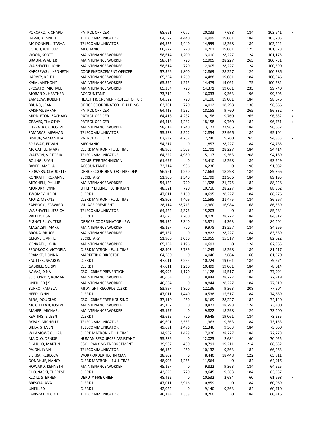| PORCARO, RICHARD          | PATROL OFFICER                           | 68,661 | 7,077     | 20,033 | 7,688  | 184 | 103,641 | x |
|---------------------------|------------------------------------------|--------|-----------|--------|--------|-----|---------|---|
| HAWK, KENNETH             | TELECOMMUNICATOR                         | 64,522 | 4,440     | 14,999 | 19,061 | 184 | 103,205 |   |
| MC DONNELL, TASHA         | TELECOMMUNICATOR                         | 64,522 | 4,440     | 14,999 | 18,298 | 184 | 102,442 |   |
| COUCH, WILLIAM            | MECHANIC                                 | 66,872 | 720       | 14,701 | 19,061 | 175 | 101,528 |   |
| WOOD, SCOTT               | <b>MAINTENANCE WORKER</b>                | 58,614 | 1,200     | 13,010 | 28,227 | 124 | 101,175 |   |
| <b>BRAUN, WALTER</b>      | <b>MAINTENANCE WORKER</b>                | 58,614 | 720       | 12,905 | 28,227 | 265 | 100,731 |   |
| WAISHWELL, JOHN           | <b>MAINTENANCE WORKER</b>                | 58,614 | 720       | 12,905 | 28,227 | 124 | 100,590 |   |
|                           |                                          |        |           |        |        |     |         |   |
| KARCZEWSKI, KENNETH       | CODE ENFORCEMENT OFFICER                 | 57,366 | 1,800     | 12,869 | 28,227 | 124 | 100,386 |   |
| HARVEY, KEITH             | <b>MAINTENANCE WORKER</b>                | 65,354 | 1,260     | 14,488 | 19,061 | 184 | 100,346 |   |
| KAIM, ANTHONY             | <b>MAINTENANCE WORKER</b>                | 65,354 | 1,215     | 14,479 | 19,061 | 175 | 100,282 |   |
| SPOSATO, MICHAEL          | <b>MAINTENANCE WORKER</b>                | 65,354 | 720       | 14,371 | 19,061 | 235 | 99,740  |   |
| MORANDI, HEATHER          | <b>ACCOUNTANT II</b>                     | 73,714 | 0         | 16,033 | 9,363  | 196 | 99,305  |   |
| ZAMZOW, ROBERT            | <b>HEALTH &amp; CNSMER PROTECT OFFCR</b> | 64,522 | 720       | 14,190 | 19,061 | 184 | 98,676  |   |
| BRUNO, JEAN               | OFFICE COORDINATOR - BUILDING            | 63,701 | 720       | 14,012 | 18,298 | 136 | 96,866  |   |
| KAISHAS, SARAH            | PATROL OFFICER                           | 64,418 | 4,232     | 18,158 | 9,760  | 265 | 96,832  | X |
| MIDDLETON, ZACHARY        | PATROL OFFICER                           | 64,418 | 4,232     | 18,158 | 9,760  | 265 | 96,832  | X |
| <b>GRAVES, TIMOTHY</b>    | PATROL OFFICER                           | 64,418 | 4,232     | 18,158 | 9,760  | 184 | 96,751  | x |
| FITZPATRICK, JOSEPH       | <b>MAINTENANCE WORKER</b>                | 58,614 | 1,740     | 13,127 | 22,966 | 184 | 96,632  |   |
| SAMARAS, MEGHAN           | TELECOMMUNICATOR                         | 55,578 | 3,522     | 12,854 | 22,966 | 184 | 95,104  |   |
|                           | PATROL OFFICER                           |        |           |        |        |     |         |   |
| <b>BISHOP, SAMANTHA</b>   |                                          | 62,837 | 4,232     | 17,740 | 9,760  | 265 | 94,833  | x |
| SPIEWAK, EDWIN            | <b>MECHANIC</b>                          | 54,517 | 0         | 11,857 | 28,227 | 184 | 94,785  |   |
| MC CAHILL, MARY           | <b>CLERK MATRON - FULL TIME</b>          | 48,903 | 5,309     | 11,791 | 28,227 | 184 | 94,414  |   |
| WATSON, VICTORIA          | TELECOMMUNICATOR                         | 64,522 | 4,980     | 15,117 | 9,363  | 208 | 94,189  |   |
| <b>BOLING, RYAN</b>       | <b>COMPUTER TECHNICIAN</b>               | 61,657 | 0         | 13,410 | 18,298 | 184 | 93,549  |   |
| BAYER, AMELIA             | <b>ACCOUNTANT II</b>                     | 73,714 | 936       | 16,236 | 0      | 196 | 91,082  |   |
| FLOWERS, CLAUDETTE        | OFFICE COORDINATOR - FIRE DEPT           | 56,961 | 1,260     | 12,663 | 18,298 | 184 | 89,366  |   |
| KONRATH, ROXANNE          | <b>SECRETARY</b>                         | 51,906 | 2,340     | 11,799 | 22,966 | 184 | 89,195  |   |
| MITCHELL, PHILLIP         | <b>MAINTENANCE WORKER</b>                | 54,122 | 720       | 11,928 | 21,475 | 184 | 88,428  |   |
| MONDRY, LYNN              | UTILITY BILLING TECHNICIAN               | 48,521 | 720       | 10,710 | 28,227 | 184 | 88,362  |   |
| TWOMEY, HEIDI             | <b>CLERKI</b>                            | 47,011 | 2,160     | 10,695 | 28,227 | 184 | 88,276  |   |
| MOTZ, MERYLE              | <b>CLERK MATRON - FULL TIME</b>          | 48,903 | 4,409     | 11,595 | 21,475 | 184 | 86,567  |   |
|                           | <b>VILLAGE PRESIDENT</b>                 |        |           | 12,360 | 16,984 |     | 86,339  |   |
| ZABROCKI, EDWARD          |                                          | 28,114 | 28,713    |        |        | 168 |         |   |
| WAISHWELL, JESSICA        | TELECOMMUNICATOR                         | 64,522 | 5,376     | 15,203 | 0      | 184 | 85,284  |   |
| VALLEY, LISA              | <b>CLERKI</b>                            | 43,625 | 2,700     | 10,076 | 28,227 | 184 | 84,812  |   |
| PIGNATIELLO, TERRI        | OFFICER COORDINATOR - PW                 | 59,134 | 2,340     | 13,371 | 9,363  | 196 | 84,404  |   |
| MAGALSKI, MARK            | <b>MAINTENANCE WORKER</b>                | 45,157 | 720       | 9,978  | 28,227 | 184 | 84,266  |   |
| <b>BRODA, BRUCE</b>       | <b>MAINTENANCE WORKER</b>                | 45,157 | 0         | 9,822  | 28,227 | 184 | 83,389  |   |
| <b>GEIGNER, APRIL</b>     | <b>SECRETARY</b>                         | 51,906 | 3,060     | 11,955 | 15,517 | 184 | 82,622  |   |
| KONRATH, JOHN             | <b>MAINTENANCE WORKER</b>                | 65,354 | 2,196     | 14,692 | 0      | 124 | 82,365  |   |
| SEDOROOK, VICTORIA        | <b>CLERK MATRON - FULL TIME</b>          | 48,903 | 2,789     | 11,243 | 18,298 | 184 | 81,417  |   |
| FRAMKE, DONNA             | <b>MARKETING DIRECTOR</b>                | 64,580 | 0         | 14,046 | 2,684  | 60  | 81,370  |   |
| SAUTTER, SHARON           | <b>CLERKI</b>                            | 47,011 | 2,295     | 10,724 | 19,061 | 184 | 79,274  |   |
| GABRIEL, GERRY            | <b>CLERKI</b>                            | 47,011 | 1,260     | 10,499 | 19,061 | 184 | 78,014  |   |
| NAVAS, DINA               | <b>CSO - CRIME PREVENTION</b>            | 49,995 | 1,170     | 11,128 | 15,517 | 184 | 77,994  |   |
| SCISLOWICZ, ROMAN         | <b>MAINTENANCE WORKER</b>                | 40,664 | $\pmb{0}$ | 8,844  | 28,227 | 184 | 77,919  |   |
| UNFILLED (2)              |                                          |        | 0         | 8,844  |        | 184 |         |   |
|                           | <b>MAINTENANCE WORKER</b>                | 40,664 |           |        | 28,227 |     | 77,919  |   |
| YURKO, PAMELA             | MIDNIGHT RECORDS CLERK                   | 53,997 | 1,800     | 12,136 | 9,363  | 208 | 77,504  |   |
| HEED, LYNN                | <b>CLERKI</b>                            | 47,011 | 1,440     | 10,538 | 15,517 | 184 | 74,689  |   |
| ALBA, DOUGLAS             | CSO - CRIME FREE HOUSING                 | 37,110 | 450       | 8,169  | 28,227 | 184 | 74,140  |   |
| MC CLELLAN, JOSEPH        | <b>MAINTENANCE WORKER</b>                | 45,157 | 0         | 9,822  | 18,298 | 124 | 73,400  |   |
| MAHER, MICHAEL            | <b>MAINTENANCE WORKER</b>                | 45,157 | 0         | 9,822  | 18,298 | 124 | 73,400  |   |
| KEATING, EILEEN           | <b>CLERKI</b>                            | 43,625 | 720       | 9,645  | 19,061 | 184 | 73,235  |   |
| RYBAK, MICHELLE           | TELECOMMUNICATOR                         | 49,691 | 2,553     | 11,363 | 9,363  | 184 | 73,153  |   |
| BILKA, STEVEN             | TELECOMMUNICATOR                         | 49,691 | 2,476     | 11,346 | 9,363  | 184 | 73,060  |   |
| WILAMOWSKI, LISA          | <b>CLERK MATRON - FULL TIME</b>          | 34,962 | 1,479     | 7,926  | 28,227 | 184 | 72,778  |   |
| MAIOLO, DENISE            | HUMAN RESOURCES ASSISTANT                | 55,286 | 0         | 12,025 | 2,684  | 60  | 70,055  |   |
| FIGLIULO, MARTIN          | CSO - PARKING ENFORCEMENT                | 39,967 | 450       | 8,791  | 19,211 | 214 | 68,632  |   |
| PAJON, LYNN               | TELECOMMUNICATOR                         | 46,134 | 450       | 10,132 | 9,363  | 184 | 66,263  |   |
| SIERRA, REBECCA           | WORK ORDER TECHNICIAN                    | 38,802 | 0         | 8,440  | 18,448 | 122 | 65,811  |   |
|                           |                                          |        |           |        |        |     |         |   |
| DONAHUE, NANCY            | <b>CLERK MATRON - FULL TIME</b>          | 48,903 | 4,265     | 11,564 | 0      | 184 | 64,916  |   |
| HOWARD, KENNETH           | <b>MAINTENANCE WORKER</b>                | 45,157 | 0         | 9,822  | 9,363  | 184 | 64,525  |   |
| <b>CHOJNACKI, THERESE</b> | <b>CLERKI</b>                            | 43,625 | 720       | 9,645  | 9,363  | 184 | 63,537  |   |
| KLOTZ, STEPHEN            | DEPUTY FIRE CHIEF                        | 48,422 | 0         | 10,532 | 2,684  | 60  | 61,698  | x |
| BRESCIA, AVA              | <b>CLERKI</b>                            | 47,011 | 2,916     | 10,859 | 0      | 184 | 60,969  |   |
| UNFILLED                  | <b>CLERKI</b>                            | 42,024 | 0         | 9,140  | 9,363  | 184 | 60,710  |   |
| FABISZAK, NICOLE          | TELECOMMUNICATOR                         | 46,134 | 3,338     | 10,760 | 0      | 184 | 60,416  |   |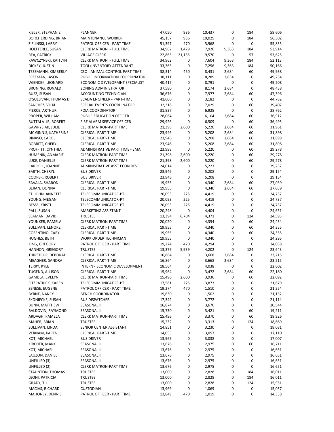| KISLER, STEPHANIE      | <b>PLANNER I</b>                | 47,050 | 936    | 10,437 | 0           | 184         | 58,606 |
|------------------------|---------------------------------|--------|--------|--------|-------------|-------------|--------|
| BORCHERDING, BRIAN     | <b>MAINTENANCE WORKER</b>       | 45,157 | 936    | 10,025 | 0           | 184         | 56,302 |
| ZIELINSKI, LARRY       | PATROL OFFICER - PART TIME      | 51,397 | 470    | 3,968  | 0           | 0           | 55,835 |
| HOEFFERLE, SUSAN       | <b>CLERK MATRON - FULL TIME</b> | 34,962 | 1,479  | 7,926  | 9,363       | 184         | 53,914 |
| REA, PATRICK           | <b>VILLAGE CLERK</b>            | 22,863 | 21,135 | 9,570  | 0           | 57          | 53,625 |
| KAWCZYNSKI, KAITLYN    | <b>CLERK MATRON - FULL TIME</b> | 34,962 | 0      | 7,604  | 9,363       | 184         | 52,113 |
| DICKEY, JUSTIN         | TOOL/INVENTORY ATTENDANT        | 33,363 | 0      | 7,256  | 9,363       | 184         | 50,166 |
|                        |                                 |        |        |        |             | 60          | 49,938 |
| TESSMANN, KIMBERLY     | CSO - ANIMAL CONTROL PART-TIME  | 38,314 | 450    | 8,431  | 2,684       |             |        |
| FREEMAN, JASON         | PUBLIC INFORMATION COORDINATOR  | 38,111 | 0      | 8,289  | 2,834       | 0           | 49,234 |
| WIENCEK, LEONARD       | ECONOMIC DEVELOPMNT SPECIALIST  | 40,417 | 0      | 8,791  | $\mathbf 0$ | 0           | 49,208 |
| BRUNING, RONALD        | <b>ZONING ADMINISTRATOR</b>     | 37,580 | 0      | 8,174  | 2,684       | 0           | 48,438 |
| <b>BUSZ, SUSAN</b>     | ACCOUNTING TECHNICIAN           | 36,676 | 0      | 7,977  | 2,684       | 60          | 47,396 |
| O'SULLIVAN, THOMAS D   | SCADA ENGINEER - PART-TIME      | 41,600 | 0      | 3,182  | 0           | 0           | 44,782 |
| SANCHEZ, VICKI         | SPECIAL EVENTS COORDINATOR      | 32,318 | 0      | 7,029  | 0           | 60          | 39,407 |
| PIERCE, ARTHUR         | <b>FOIA COORDINATOR</b>         | 31,837 | 0      | 6,925  | 0           | $\mathbf 0$ | 38,762 |
| PROPER, WILLIAM        | PUBLIC EDUCATION OFFICER        | 28,064 | 0      | 6,104  | 2,684       | 60          | 36,912 |
| BUTTALA JR, ROBERT     | FIRE ALARM SERVICE OFFICER      | 29,926 | 0      | 6,509  | 0           | 60          | 36,495 |
| GAWRYSIAK, JULIE       | <b>CLERK MATRON-PART TIME</b>   | 21,398 | 2,600  | 5,220  | 2,684       | 60          | 31,961 |
| MC GINNIS, KATHERINE   | <b>CLERICAL PART-TIME</b>       | 23,946 | 0      | 5,208  | 2,684       | 60          | 31,898 |
| DINASO, CAROL          | <b>CLERICAL PART-TIME</b>       | 23,946 | 0      | 5,208  | 2,684       | 60          | 31,898 |
|                        |                                 |        | 0      |        |             | 60          |        |
| <b>BOBBITT, CHERYL</b> | <b>CLERICAL PART-TIME</b>       | 23,946 |        | 5,208  | 2,684       |             | 31,898 |
| PROFFITT, CYNTHIA      | ADMINISTRATIVE PART TIME - EMA  | 23,998 | 0      | 5,220  | 0           | 60          | 29,278 |
| HUMENIK, ANMARIE       | <b>CLERK MATRON-PART TIME</b>   | 21,398 | 2,600  | 5,220  | 0           | 60          | 29,278 |
| LUKE, DANIELLE         | <b>CLERK MATRON-PART TIME</b>   | 21,398 | 2,600  | 5,220  | 0           | 60          | 29,278 |
| CARROLL, JOANNE        | ADMINISTRATIVE ASST ECON DEV    | 24,014 | 0      | 5,223  | 0           | 0           | 29,237 |
| SMITH, CHERYL          | <b>BUS DRIVER</b>               | 23,946 | 0      | 5,208  | 0           | 0           | 29,154 |
| COOPER, ROBERT         | <b>BUS DRIVER</b>               | 23,946 | 0      | 5,208  | 0           | 0           | 29,154 |
| ZAVALA, SHARON         | <b>CLERICAL PART-TIME</b>       | 19,955 | 0      | 4,340  | 2,684       | 60          | 27,039 |
| BERAN, DONNA           | <b>CLERICAL PART-TIME</b>       | 19,955 | 0      | 4,340  | 2,684       | 60          | 27,039 |
| ST. JOHN, ANNETTE      | TELECOMMUNICATOR-PT             | 20,093 | 225    | 4,419  | 0           | 0           | 24,737 |
| YOUNG, MEGAN           | TELECOMMUNICATOR-PT             | 20,093 | 225    | 4,419  | 0           | 0           | 24,737 |
| <b>BESSE, KRISTI</b>   | TELECOMMUNICATOR-PT             |        | 225    |        | 0           | 0           | 24,737 |
|                        |                                 | 20,093 |        | 4,419  |             |             |        |
| PALL, SUSAN            | MARKETING ASSISTANT             | 20,248 | 0      | 4,404  | 0           | 0           | 24,651 |
| SEAMAN, DAVID          | <b>TRUSTEE</b>                  | 13,394 | 6,704  | 4,371  | 0           | 124         | 24,593 |
| YOUNKER, PAMELA        | <b>CLERK MATRON-PART TIME</b>   | 20,020 | 0      | 4,354  | 0           | 60          | 24,434 |
| SULLIVAN, LENORE       | <b>CLERICAL PART-TIME</b>       | 19,955 | 0      | 4,340  | 0           | 60          | 24,355 |
| COSENTINO, CARY        | <b>CLERICAL PART-TIME</b>       | 19,955 | 0      | 4,340  | 0           | 60          | 24,355 |
| HUGHES, BETH           | <b>WORK ORDER TECHNICIAN</b>    | 19,955 | 0      | 4,340  | 0           | 0           | 24,295 |
| KING, GREGORY          | PATROL OFFICER - PART TIME      | 19,274 | 470    | 4,294  | 0           | 0           | 24,038 |
| HANNON, GREGORY        | <b>TRUSTEE</b>                  | 13,379 | 5,939  | 4,202  | 0           | 124         | 23,643 |
| THIRSTRUP, DEBORAH     | <b>CLERICAL PART-TIME</b>       | 16,864 | 0      | 3,668  | 2,684       | 0           | 23,215 |
| MEAGHER, SANDRA        | <b>CLERICAL PART-TIME</b>       | 16,864 | 0      | 3,668  | 2,684       | 0           | 23,215 |
| TERRY, KYLE            | INTERN - ECONOMIC DEVELOPMENT   | 18,564 | 0      | 4,038  | 0           | 0           | 22,602 |
| TUGEND, ALLISON        | <b>CLERICAL PART-TIME</b>       | 15,964 | 0      | 3,472  | 2,684       | 60          | 22,180 |
| GAMBLA, EVELYN         | <b>CLERK MATRON-PART TIME</b>   | 15,496 | 2,600  | 3,936  | $\pmb{0}$   | 60          | 22,092 |
|                        |                                 |        |        |        |             |             |        |
| FITZPATRICK, KAREN     | TELECOMMUNICATOR-PT             | 17,581 | 225    | 3,873  | 0           | 0           | 21,679 |
| SENESE, EUGENE         | PATROL OFFICER - PART TIME      | 19,274 | 470    | 1,510  | 0           | 0           | 21,254 |
| <b>BYRNE, NANCY</b>    | <b>BENCH COORDINATOR</b>        | 19,630 | 0      | 1,502  | 0           | 0           | 21,132 |
| SKONIECKE, SUSAN       | <b>BUS DISPATCHER</b>           | 17,342 | 0      | 3,772  | 0           | 0           | 21,114 |
| <b>BUNN, MATTHEW</b>   | SEASONAL II                     | 16,874 | 0      | 3,670  | 0           | 0           | 20,544 |
| BALDOVIN, RAYMOND      | SEASONAL II                     | 15,730 | 0      | 3,421  | 0           | 60          | 19,211 |
| ARDAGH, PAMELA         | <b>CLERK MATRON-PART TIME</b>   | 15,496 | 0      | 3,370  | 0           | 60          | 18,926 |
| MAHER, BRIAN           | <b>TRUSTEE</b>                  | 15,232 | 0      | 3,313  | 0           | 124         | 18,669 |
| SULLIVAN, LINDA        | SENIOR CENTER ASSISTANT         | 14,851 | 0      | 3,230  | 0           | 0           | 18,081 |
| <b>VERNAM, KAREN</b>   | <b>CLERICAL PART-TIME</b>       | 14,053 | 0      | 3,057  | 0           | 0           | 17,110 |
| KOT, MICHAEL           | <b>BUS DRIVER</b>               | 13,969 | 0      | 3,038  | 0           | 0           | 17,007 |
|                        |                                 |        | 0      |        | 0           | 60          |        |
| KIRCHER, MARK          | SEASONAL II                     | 13,676 |        | 2,975  |             |             | 16,711 |
| KOT, MICHAEL           | SEASONAL II                     | 13,676 | 0      | 2,975  | 0           | 0           | 16,651 |
| LAUZON, DANIEL         | SEASONAL II                     | 13,676 | 0      | 2,975  | 0           | 0           | 16,651 |
| UNFILLED (3)           | SEASONAL II                     | 13,676 | 0      | 2,975  | 0           | 0           | 16,651 |
| UNFILLED (2)           | <b>CLERK MATRON-PART TIME</b>   | 13,676 | 0      | 2,975  | 0           | 0           | 16,651 |
| STAUNTON, THOMAS       | <b>TRUSTEE</b>                  | 13,000 | 0      | 2,828  | 0           | 184         | 16,011 |
| LEONI, PATRICIA        | TRUSTEE                         | 13,000 | 0      | 2,828  | 0           | 184         | 16,011 |
| GRADY, T.J.            | <b>TRUSTEE</b>                  | 13,000 | 0      | 2,828  | 0           | 124         | 15,951 |
| MACIAS, RICHARD        | <b>CUSTODIAN</b>                | 13,969 | 0      | 1,069  | 0           | 0           | 15,037 |
| MAHONEY, DENNIS        | PATROL OFFICER - PART TIME      | 12,849 | 470    | 1,019  | 0           | 0           | 14,338 |
|                        |                                 |        |        |        |             |             |        |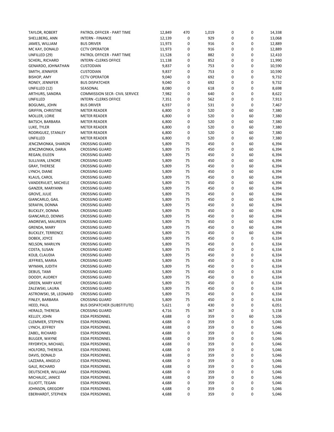| TAYLOR, ROBERT            | PATROL OFFICER - PART TIME            | 12,849 | 470              | 1,019 | 0 | 0  | 14,338 |
|---------------------------|---------------------------------------|--------|------------------|-------|---|----|--------|
| SHELLBERG, ANN            | <b>INTERN - FINANCE</b>               | 12,139 | 0                | 929   | 0 | 0  | 13,068 |
| JAMES, WILLIAM            | <b>BUS DRIVER</b>                     | 11,973 | 0                | 916   | 0 | 0  | 12,889 |
| MC KAY, DONALD            | <b>CCTV OPERATOR</b>                  | 11,973 | 0                | 916   | 0 | 0  | 12,889 |
| UNFILLED (29)             | PATROL OFFICER - PART TIME            | 11,528 | 0                | 882   | 0 | 0  | 12,410 |
| SCHERL, RICHARD           | <b>INTERN - CLERKS OFFICE</b>         | 11,138 | 0                | 852   | 0 | 0  | 11,990 |
| GENARDO, JOHNATHAN        | <b>CUSTODIAN</b>                      | 9,837  | 0                | 753   | 0 | 0  | 10,590 |
| SMITH, JENNIFER           | <b>CUSTODIAN</b>                      | 9,837  | $\pmb{0}$        | 753   | 0 | 0  | 10,590 |
| <b>BISHOP, AMY</b>        | <b>CCTV OPERATOR</b>                  | 9,040  | $\pmb{0}$        | 692   | 0 | 0  | 9,732  |
| RONEY, JENNIFER           | <b>BUS DISPATCHER</b>                 | 9,040  | 0                | 692   | 0 | 0  | 9,732  |
| UNFILLED (12)             | SEASONAL                              | 8,080  | $\pmb{0}$        | 618   | 0 | 0  | 8,698  |
| ARTHURS, SANDRA           | <b>COMMISSION SECR- CIVIL SERVICE</b> | 7,982  | 0                | 640   | 0 | 0  | 8,622  |
| UNFILLED                  | <b>INTERN - CLERKS OFFICE</b>         | 7,351  | 0                | 562   | 0 | 0  | 7,913  |
| <b>BOGUMIL, JOHN</b>      | <b>BUS DRIVER</b>                     | 6,937  | 0                | 531   | 0 | 0  | 7,467  |
| <b>GRIFFIN, CHRISTINE</b> | <b>METER READER</b>                   | 6,800  | 0                | 520   | 0 | 60 | 7,380  |
| MOLLER, LORIE             | <b>METER READER</b>                   | 6,800  | $\pmb{0}$        | 520   | 0 | 60 | 7,380  |
| BATSCH, BARBARA           | <b>METER READER</b>                   | 6,800  | 0                | 520   | 0 | 60 | 7,380  |
| LUKE, TYLER               | <b>METER READER</b>                   | 6,800  | $\pmb{0}$        | 520   | 0 | 60 | 7,380  |
| RODRIGUEZ, STANLEY        | <b>METER READER</b>                   | 6,800  | $\boldsymbol{0}$ | 520   | 0 | 60 | 7,380  |
| UNFILLED                  | <b>METER READER</b>                   | 6,800  | 0                | 520   | 0 | 60 | 7,380  |
| JENCZMIONKA, SHARON       | <b>CROSSING GUARD</b>                 | 5,809  | 75               | 450   | 0 | 60 | 6,394  |
| JENCZMIONKA, DARIA        | <b>CROSSING GUARD</b>                 | 5,809  | 75               | 450   | 0 | 60 | 6,394  |
| REGAN, EILEEN             | <b>CROSSING GUARD</b>                 | 5,809  | 75               | 450   | 0 | 60 | 6,394  |
| SULLIVAN, LENORE          | <b>CROSSING GUARD</b>                 | 5,809  | 75               | 450   | 0 | 60 | 6,394  |
| <b>GRAY, THERESE</b>      | <b>CROSSING GUARD</b>                 | 5,809  | 75               | 450   | 0 | 60 | 6,394  |
| LYNCH, DIANE              | <b>CROSSING GUARD</b>                 | 5,809  | 75               | 450   | 0 | 60 | 6,394  |
|                           |                                       |        |                  |       |   |    |        |
| KLAUS, CAROL              | <b>CROSSING GUARD</b>                 | 5,809  | 75               | 450   | 0 | 60 | 6,394  |
| VANDERVLIET, MICHELE      | <b>CROSSING GUARD</b>                 | 5,809  | 75               | 450   | 0 | 60 | 6,394  |
| GANZER, MARYANN           | <b>CROSSING GUARD</b>                 | 5,809  | 75               | 450   | 0 | 60 | 6,394  |
| <b>GROVE, JULIE</b>       | <b>CROSSING GUARD</b>                 | 5,809  | 75               | 450   | 0 | 60 | 6,394  |
| GIANCARLO, GAIL           | <b>CROSSING GUARD</b>                 | 5,809  | 75               | 450   | 0 | 60 | 6,394  |
| SERAFIN, DONNA            | <b>CROSSING GUARD</b>                 | 5,809  | 75               | 450   | 0 | 60 | 6,394  |
| <b>BUCKLEY, DONNA</b>     | <b>CROSSING GUARD</b>                 | 5,809  | 75               | 450   | 0 | 60 | 6,394  |
| GIANCARLO, DENNIS         | <b>CROSSING GUARD</b>                 | 5,809  | 75               | 450   | 0 | 60 | 6,394  |
| ANDREWS, MAUREEN          | <b>CROSSING GUARD</b>                 | 5,809  | 75               | 450   | 0 | 60 | 6,394  |
| GRENDA, MARY              | <b>CROSSING GUARD</b>                 | 5,809  | 75               | 450   | 0 | 60 | 6,394  |
| <b>BUCKLEY, TERRENCE</b>  | <b>CROSSING GUARD</b>                 | 5,809  | 75               | 450   | 0 | 60 | 6,394  |
| DOBEK, JOYCE              | <b>CROSSING GUARD</b>                 | 5,809  | 75               | 450   | 0 | 0  | 6,334  |
| NELSON, MARILYN           | <b>CROSSING GUARD</b>                 | 5,809  | 75               | 450   | 0 | 0  | 6,334  |
| COSTA, SUSAN              | <b>CROSSING GUARD</b>                 | 5,809  | 75               | 450   | 0 | 0  | 6,334  |
| KOLB, CLAUDIA             | <b>CROSSING GUARD</b>                 | 5,809  | 75               | 450   | 0 | 0  | 6,334  |
| JEFFRIES, MARIA           | <b>CROSSING GUARD</b>                 | 5,809  | 75               | 450   | 0 | 0  | 6,334  |
| WYMAN, JUDITH             | <b>CROSSING GUARD</b>                 | 5,809  | 75               | 450   | 0 | 0  | 6,334  |
| DEBUS, TAMI               | <b>CROSSING GUARD</b>                 | 5,809  | 75               | 450   | 0 | 0  | 6,334  |
| DOODY, AUDREY             | <b>CROSSING GUARD</b>                 | 5,809  | 75               | 450   | 0 | 0  | 6,334  |
| <b>GREEN, MARY KAYE</b>   | <b>CROSSING GUARD</b>                 | 5,809  | 75               | 450   | 0 | 0  | 6,334  |
| ZALEWSKI, LAURA           | <b>CROSSING GUARD</b>                 | 5,809  | 75               | 450   | 0 | 0  | 6,334  |
| ASTROWSKI, SR, LEONARD    | <b>CROSSING GUARD</b>                 | 5,809  | 75               | 450   | 0 | 0  | 6,334  |
| FINLEY, BARBARA           | <b>CROSSING GUARD</b>                 | 5,809  | 75               | 450   | 0 | 0  | 6,334  |
| HEED, PAUL                | <b>BUS DISPATCHER (SUBSTITUTE)</b>    | 5,621  | 0                | 430   | 0 | 0  | 6,051  |
| HERALD, THERESA           | <b>CROSSING GUARD</b>                 | 4,716  | 75               | 367   | 0 | 0  | 5,158  |
| KELLEY, JOHN              | <b>ESDA PERSONNEL</b>                 | 4,688  | 0                | 359   | 0 | 60 | 5,106  |
| CLEMMER, STEPHEN          | <b>ESDA PERSONNEL</b>                 | 4,688  | 0                | 359   | 0 | 0  | 5,046  |
| LYNCH, JEFFREY            | <b>ESDA PERSONNEL</b>                 | 4,688  | 0                | 359   | 0 | 0  | 5,046  |
| ZABEL, RICHARD            | <b>ESDA PERSONNEL</b>                 | 4,688  | 0                | 359   | 0 | 0  | 5,046  |
| <b>BULGER, WAYNE</b>      | <b>ESDA PERSONNEL</b>                 | 4,688  | 0                | 359   | 0 | 0  | 5,046  |
| FRYDRYCH, MICHAEL         | ESDA PERSONNEL                        | 4,688  | 0                | 359   | 0 | 0  | 5,046  |
| HOLFORD, THERESA          | ESDA PERSONNEL                        | 4,688  | 0                | 359   | 0 | 0  | 5,046  |
| DAVIS, DONALD             | <b>ESDA PERSONNEL</b>                 | 4,688  | 0                | 359   | 0 | 0  | 5,046  |
| LAZZARA, ANGELO           | ESDA PERSONNEL                        | 4,688  | 0                | 359   | 0 | 0  | 5,046  |
| GALE, RICHARD             | <b>ESDA PERSONNEL</b>                 | 4,688  | 0                | 359   | 0 | 0  | 5,046  |
| DEUTSCHER, WILLIAM        | ESDA PERSONNEL                        | 4,688  | 0                | 359   | 0 | 0  | 5,046  |
| MICHALEC, JANICE          | ESDA PERSONNEL                        | 4,688  | 0                | 359   | 0 | 0  | 5,046  |
| ELLIOTT, TEGAN            | <b>ESDA PERSONNEL</b>                 | 4,688  | 0                | 359   | 0 | 0  | 5,046  |
| JOHNSON, GREGORY          | <b>ESDA PERSONNEL</b>                 | 4,688  | 0                | 359   | 0 | 0  | 5,046  |
| EBERHARDT, STEPHEN        | <b>ESDA PERSONNEL</b>                 | 4,688  | 0                | 359   | 0 | 0  | 5,046  |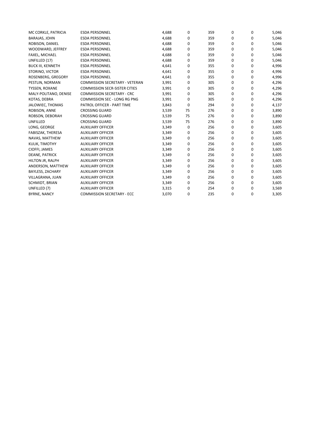| MC CORKLE, PATRICIA      | <b>ESDA PERSONNEL</b>                 | 4,688 | 0  | 359 | 0 | 0        | 5,046 |
|--------------------------|---------------------------------------|-------|----|-----|---|----------|-------|
| <b>BARAJAS, JOHN</b>     | <b>ESDA PERSONNEL</b>                 | 4,688 | 0  | 359 | 0 | 0        | 5,046 |
| ROBISON, DANIEL          | <b>ESDA PERSONNEL</b>                 | 4,688 | 0  | 359 | 0 | 0        | 5,046 |
| WOODWARD, JEFFREY        | <b>ESDA PERSONNEL</b>                 | 4,688 | 0  | 359 | 0 | $\Omega$ | 5,046 |
| FAXEL, MICHAEL           | <b>ESDA PERSONNEL</b>                 | 4,688 | 0  | 359 | 0 | 0        | 5,046 |
| UNFILLED (17)            | <b>ESDA PERSONNEL</b>                 | 4,688 | 0  | 359 | 0 | 0        | 5,046 |
| <b>BUCK III, KENNETH</b> | <b>ESDA PERSONNEL</b>                 | 4,641 | 0  | 355 | 0 | 0        | 4,996 |
| STORINO, VICTOR          | <b>ESDA PERSONNEL</b>                 | 4,641 | 0  | 355 | 0 | 0        | 4,996 |
| ROSENBERG, GREGORY       | <b>ESDA PERSONNEL</b>                 | 4,641 | 0  | 355 | 0 | 0        | 4,996 |
| PESTLIN, NORMAN          | <b>COMMISSION SECRETARY - VETERAN</b> | 3,991 | 0  | 305 | 0 | 0        | 4,296 |
| TYSSEN, ROXANE           | <b>COMMISSION SECR-SISTER CITIES</b>  | 3,991 | 0  | 305 | 0 | 0        | 4,296 |
| MALY-POLITANO, DENISE    | <b>COMMISSION SECRETARY - CRC</b>     | 3,991 | 0  | 305 | 0 | $\Omega$ | 4,296 |
| KOTAS, DEBRA             | COMMISSION SEC - LONG RG PNG          | 3,991 | 0  | 305 | 0 | 0        | 4,296 |
| JALOWIEC, THOMAS         | PATROL OFFICER - PART TIME            | 3,843 | 0  | 294 | 0 | 0        | 4,137 |
| ROBISON, ANNE            | <b>CROSSING GUARD</b>                 | 3,539 | 75 | 276 | 0 | 0        | 3,890 |
| ROBSON, DEBORAH          | <b>CROSSING GUARD</b>                 | 3,539 | 75 | 276 | 0 | 0        | 3,890 |
| UNFILLED                 | <b>CROSSING GUARD</b>                 | 3,539 | 75 | 276 | 0 | 0        | 3,890 |
| LONG, GEORGE             | <b>AUXILIARY OFFICER</b>              | 3,349 | 0  | 256 | 0 | 0        | 3,605 |
| FABISZAK, THERESA        | <b>AUXILIARY OFFICER</b>              | 3,349 | 0  | 256 | 0 | 0        | 3,605 |
| NAVAS, MATTHEW           | <b>AUXILIARY OFFICER</b>              | 3,349 | 0  | 256 | 0 | 0        | 3,605 |
| KULIK, TIMOTHY           | <b>AUXILIARY OFFICER</b>              | 3,349 | 0  | 256 | 0 | 0        | 3,605 |
| CIOFFI, JAMES            | <b>AUXILIARY OFFICER</b>              | 3,349 | 0  | 256 | 0 | 0        | 3,605 |
| <b>DEANE, PATRICK</b>    | <b>AUXILIARY OFFICER</b>              | 3,349 | 0  | 256 | 0 | 0        | 3,605 |
| HILTON JR, RALPH         | <b>AUXILIARY OFFICER</b>              | 3,349 | 0  | 256 | 0 | 0        | 3,605 |
| ANDERSON, MATTHEW        | <b>AUXILIARY OFFICER</b>              | 3,349 | 0  | 256 | 0 | 0        | 3,605 |
| BAYLESS, ZACHARY         | <b>AUXILIARY OFFICER</b>              | 3,349 | 0  | 256 | 0 | 0        | 3,605 |
| VILLAGRANA, JUAN         | <b>AUXILIARY OFFICER</b>              | 3,349 | 0  | 256 | 0 | 0        | 3,605 |
| SCHMIDT, BRIAN           | <b>AUXILIARY OFFICER</b>              | 3,349 | 0  | 256 | 0 | 0        | 3,605 |
| UNFILLED (7)             | <b>AUXILIARY OFFICER</b>              | 3,315 | 0  | 254 | 0 | 0        | 3,569 |
| <b>BYRNE, NANCY</b>      | <b>COMMISSION SECRETARY - ECC</b>     | 3,070 | 0  | 235 | 0 | 0        | 3,305 |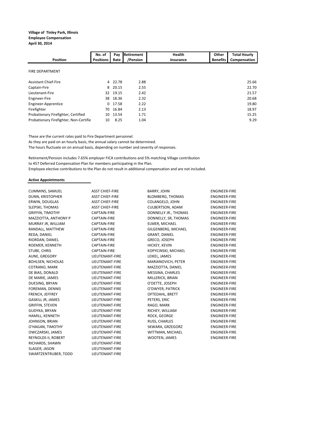### **Village of Tinley Park, Illinois Employee Compensation**

**April 30, 2014**

| <b>Position</b>                        | No. of<br><b>Positions</b> | Pay<br>Rate | Retirement<br>/Pension | <b>Health</b><br>Insurance | Other<br><b>Benefits</b> | <b>Total Hourly</b><br>Compensation |
|----------------------------------------|----------------------------|-------------|------------------------|----------------------------|--------------------------|-------------------------------------|
| <b>FIRE DEPARTMENT</b>                 |                            |             |                        |                            |                          |                                     |
| <b>Assistant Chief-Fire</b>            | 4                          | 22.78       | 2.88                   |                            |                          | 25.66                               |
| Captain-Fire                           | 8                          | 20.15       | 2.55                   |                            |                          | 22.70                               |
| Lieutenant-Fire                        |                            | 32 19.15    | 2.42                   |                            |                          | 21.57                               |
| Engineer-Fire                          | 38                         | 18.36       | 2.32                   |                            |                          | 20.68                               |
| Engineer-Apprentice                    | $\Omega$                   | 17.58       | 2.22                   |                            |                          | 19.80                               |
| Firefighter                            | 70                         | 16.84       | 2.13                   |                            |                          | 18.97                               |
| Probationary Firefighter, Certified    | 10                         | 13.54       | 1.71                   |                            |                          | 15.25                               |
| Probationary Firefighter, Non-Certifie | 10                         | 8.25        | 1.04                   |                            |                          | 9.29                                |

These are the current rates paid to Fire Department personnel.

As they are paid on an hourly basis, the annual salary cannot be determined.

The hours fluctuate on on annual basis, depending on number and severity of responses.

Retirement/Pension includes 7.65% employer FICA contributions and 5% matching Village contribution to 457 Deferred Compensation Plan for members participating in the Plan. Employee elective contributions to the Plan do not result in additional compensation and are not included.

#### **Active Appointments**

RICHARDS, SHAWN LIEUTENANT-FIRE SLAGER, JASON LIEUTENANT-FIRE SWARTZENTRUBER, TODD LIEUTENANT-FIRE

CUMMINS, SAMUEL ASST CHIEF-FIRE BARRY, JOHN ENGINEER-FIRE DUNN, KRISTOPHER ASST CHIEF-FIRE BLOMBERG, THOMAS ENGINEER-FIRE COLANGELO, JOHN SLEPSKI, THOMAS ASST CHIEF-FIRE CULBERTSON, ADAM ENGINEER-FIRE GRIFFIN, TIMOTHY CAPTAIN-FIRE DONNELLY JR., THOMAS ENGINEER-FIRE MAZZIOTTA, ANTHONY P CAPTAIN-FIRE DONNELLY, SR, THOMAS ENGINEER-FIRE MURRAY JR, WILLIAM CAPTAIN-FIRE ELMER, MICHAEL ENGINEER-FIRE RANDALL, MATTHEW CAPTAIN-FIRE GILGENBERG, MICHAEL ENGINEER-FIRE REDA, DANIEL CAPTAIN-FIRE GRANT, DANIEL ENGINEER-FIRE RIORDAN, DANIEL **CAPTAIN-FIRE GRECO, JOSEPH ENGINEER-FIRE** ROEMER, KENNETH CAPTAIN-FIRE HICKEY, KEVIN ENGINEER-FIRE STUBE, CHRIS CAPTAIN-FIRE KOPYCINSKI, MICHAEL ENGINEER-FIRE AUNE, GREGORY LIEUTENANT-FIRE LEIKEL, JAMES ENGINEER-FIRE BOHLSEN, NICHOLAS LIEUTENANT-FIRE MARIANOVICH, PETER ENGINEER-FIRE COTRANO, MARK LIEUTENANT-FIRE MAZZIOTTA, DANIEL ENGINEER-FIRE DE BIAS, DONALD LIEUTENANT-FIRE MESSINA, CHARLES ENGINEER-FIRE MILLERICK, BRIAN DUESING, BRYAN LIEUTENANT-FIRE O'DETTE, JOSEPH ENGINEER-FIRE FOREMAN, DENNIS LIEUTENANT-FIRE O'DWYER, PATRICK ENGINEER-FIRE FRENCH, JEFFREY LIEUTENANT-FIRE OFTEDAHL, BRETT ENGINEER-FIRE GASKILL JR, JAMES LIEUTENANT-FIRE PETERS, ERIC ENGINEER-FIRE GRIFFIN, STEVEN LIEUTENANT-FIRE RAGO, MARK ENGINEER-FIRE GUDYKA, BRYAN LIEUTENANT-FIRE RICHEY, WILLIAM ENGINEER-FIRE HAMILL, KENNETH LIEUTENANT-FIRE ROCK, GEORGE ENGINEER-FIRE JOHNSON, BRIAN LIEUTENANT-FIRE RUSS, CHARLES ENGINEER-FIRE O'HAGAN, TIMOTHY LIEUTENANT-FIRE SKWARA, GRZEGORZ ENGINEER-FIRE OWCZARSKI, JAMES LIEUTENANT-FIRE WITTMAN, MICHAEL ENGINEER-FIRE REYNOLDS II, ROBERT **LIEUTENANT-FIRE** WOOTEN, JAMES **ENGINEER-FIRE**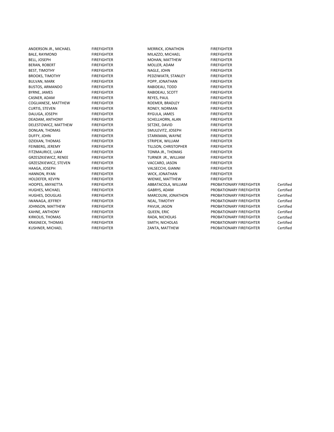BALE, RAYMOND FIREFIGHTER MILAZZO, MICHAEL FIREFIGHTER BERAN, ROBERT FIREFIGHTER MOLLER, ADAM FIREFIGHTER BEST, TIMOTHY FIREFIGHTER NAGLE, JOHN FIREFIGHTER BROOKS, TIMOTHY FIREFIGHTER FIREFIGHTER PEDZIWIATR, STANLEY FIREFIGHTER BULVAN, MARK FIREFIGHTER POPP, JONATHAN FIREFIGHTER BUSTOS, ARMANDO FIREFIGHTER RABIDEAU, TODD FIREFIGHTER BYRNE, JAMES FIREFIGHTER FIREFIGHTER RABIDEAU, SCOTT CASNER, ADAM FIREFIGHTER REYES, PAUL FIREFIGHTER COGLIANESE, MATTHEW FIREFIGHTER FIREFIGHTER ROEMER, BRADLEY FIREFIGHTER CURTIS, STEVEN FIREFIGHTER RONEY, NORMAN FIREFIGHTER DALUGA, JOSEPH DEADAM, ANTHONY FIREFIGHTER SCHELLHORN, ALAN FIREFIGHTER DELESTOWICZ, MATTHEW FIREFIGHTER SETZKE, DAVID FIREFIGHTER SETZKE, DAVID DONLAN, THOMAS FIREFIGHTER SMULEVITZ, JOSEPH FIREFIGHTER<br>DUFFY. JOHN FIREFIGHTER STARKMAN. WAYNE FIREFIGHTER DZIEKAN, THOMAS FIREFIGHTER STRIPEIK, WILLIAM FIREFIGHTER FEINBERG, JEREMY FIREFIGHTER TILLSON, CHRISTOPHER FIREFIGHTER FITZMAURICE, LIAM FIREFIGHTER TONRA JR., THOMAS FIREFIGHTER GRZESZKIEWICZ, RENEE FIREFIGHTER FIREFIGHTER TURNER JR., WILLIAM FIREFIGHTER GRZESZKIEWICZ, STEVEN FIREFIGHTER FIREFIGHTER (GRZESZKIEWICZ, STEVEN FIREFIGHTER<br>FIREFIGHTER FIREFIGHTER VALSECCHI, GIANNI FIREFIGHTER HANNON, RYAN FIREFIGHTER WICK, JONATHAN FIREFIGHTER HOLDEFER, KEVYN FIREFIGHTER WIENKE, MATTHEW FIREFIGHTER HOOPES, ANYAETTA FIREFIGHTER ABBATACOLA, WILLIAM PROBATIONARY FIREFIGHTER Certified HUGHES, DOUGLAS FIREFIGHTER MARCOLINI, JONATHON PROBATIONARY FIREFIGHTER Certified IWANAGA, JEFFREY FIREFIGHTER NEAL, TIMOTHY PROBATIONARY FIREFIGHTER Certified JOHNSON, MATTHEW FIREFIGHTER PAVLIK, JASON PROBATIONARY FIREFIGHTER Certified KIRKOLIS, THOMAS FIREFIGHTER FIREFIGHTER RADA, NICHOLAS PROBATIONARY FIREFIGHTER Certified KRASNECK, THOMAS FIREFIGHTER FIREFIGHTER SMITH, NICHOLAS PROBATIONARY FIREFIGHTER Certified<br>FIREFIGHTER FIREFIGHTER SANTA, MATTHEW PROBATIONARY FIREFIGHTER Certified

ANDERSON JR., MICHAEL FIREFIGHTER MERRICK, JONATHON FIREFIGHTER MOHAN, MATTHEW STARKMAN, WAYNE FIREFIGHTER VALSECCHI, GIANNI<br>FIREFIGHTER WICK, JONATHAN FIREFIGHTER QUEEN, ERIC PROBATIONARY FIREFIGHTER

PROBATIONARY FIREFIGHTER PROBATIONARY FIREFIGHTER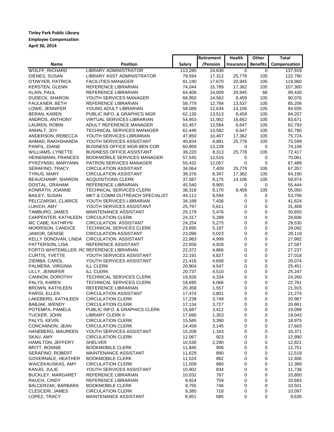### **Tinley Park Public Library Employee Compensation April 30, 2014**

|                                           |                                    |         | <b>Retirement</b> | Health      | Other           | <b>Total</b> |
|-------------------------------------------|------------------------------------|---------|-------------------|-------------|-----------------|--------------|
| Name                                      | Position                           | Salary  | /Pension          | Insurance   | <b>Benefits</b> | Compensation |
| <b>WOLFF, RICHARD</b>                     | <b>LIBRARY ADMINISTRATOR</b>       | 113,280 | 24,638            | 0           | 0               | 137,919      |
| DIENES, SUSAN                             | LIBRARY ASST ADMINISTRATOR         | 79,594  | 17,312            | 25,778      | 105             | 122,790      |
| O'DWYER, PATRICK                          | <b>FACILITIES MANAGER</b>          | 81,240  | 17,670            | 20,945      | 105             | 119,960      |
| <b>KERSTEN, GLENN</b>                     | REFERENCE LIBRARIAN                | 74,044  | 15,789            | 17,362      | 105             | 107,300      |
| KLAIN, PAUL                               | REFERENCE LIBRARIAN                | 64,408  | 14,009            | 20,945      | 68              | 99,430       |
| DUDECK, SHARON                            | YOUTH SERVICES MANAGER             | 66,950  | 14,562            | 8,459       | 105             | 90,076       |
| FAULKNER, BETH                            | REFERENCE LIBRARIAN                | 58,779  | 12,784            | 13,537      | 105             | 85,206       |
| LOWE, JENNIFER                            | YOUNG ADULT LIBRARIAN              | 58,089  | 12,634            | 14,106      | 105             | 84,935       |
| <b>BERAN, KAREN</b>                       | PUBLIC INFO. & GRAPHICS MGR        | 62,130  | 13,513            | 8,459       | 105             | 84,207       |
| ANDROS, ANTHONY                           | VIRTUAL SERVICES LIBRARIAN         | 54,953  | 11,952            | 16,662      | 105             | 83,671       |
| LAUREN, ROBIN                             | ADULT REFERENCE MANAGER            | 62,457  | 13,584            | 6,647       | 105             | 82,793       |
| ANHALT, JOY                               | TECHNICAL SERVICES MANAGER         | 62,446  | 13,582            | 6,647       | 105             | 82,780       |
| ANDERSON, REBECCA                         | YOUTH SERVICES LIBRARIAN           | 47,850  | 10,407            | 17,362      | 105             | 75,724       |
| AHMAD, RAKHSHANDA                         | YOUTH SERVICES ASSISTANT           | 40,834  | 8,881             | 25,778      | 105             | 75,599       |
| PANFIL, DIANE                             | <b>BUSINESS OFFICE MGR-BEN COR</b> | 60,869  | 13,239            | 0           | 0               | 74,108       |
| WILLIAMS, LYNETTE                         | <b>BUSINESS OFFICE ASSISTANT</b>   | 38,220  | 8,313             | 25,778      | 105             | 72,417       |
| HEINEMANN, FRANCES                        | <b>BOOKMOBILE SERVICES MANAGER</b> | 57,545  | 12,516            | 0           | 0               | 70,061       |
| PYRZYNSKI, MARYANN                        | PATRON SERVICES MANAGER            | 55,432  | 12,057            | 0           | 0               | 67,489       |
| SERAFINO, TRACY                           | <b>CIRCULATION ASSISTANT</b>       | 34,064  | 7,409             | 25,778      | 105             | 67,357       |
| <b>TYRUS, MARY</b>                        | <b>CIRCULATION ASSISTANT</b>       | 38,376  | 8,347             | 17,362      | 105             | 64,190       |
| BEAUCHAMP, SHARON                         | <b>ACQUISITIONS CLERK</b>          | 37,587  | 8,175             | 14,106      | 105             | 59,974       |
| DOSTAL, GRAHAM                            | REFERENCE LIBRARIAN                | 45,540  | 9,905             | 0           | 0               | 55,444       |
| KONRATH, JOANNE                           | TECHNICAL SERVICES CLERK           | 38,316  | 8,170             | 8,459       | 105             | 55,050       |
| BAILEY, SUSAN                             | MKT & COMM OUTREACH SPECIALIST     | 44,112  | 9,594             | 0           | 0               | 53,706       |
| PELCZARSKI, CLARICE                       | YOUTH SERVICES LIBRARIAN           | 34,188  | 7,436             | 0           | $\mathbf 0$     | 41,624       |
| LUKICH, AMY                               | YOUTH SERVICES ASSISTANT           | 25,797  | 5,611             | 0           | $\mathbf 0$     | 31,408       |
| TAMBURO, JAMES                            | <b>MAINTENANCE ASSISTANT</b>       | 25,179  | 5,476             | 0           | 0               | 30,655       |
| CARPENTER, KATHLEEN                       | <b>CIRCULATION CLERK</b>           | 24,317  | 5,289             | 0           | $\mathbf 0$     | 29,606       |
| MC CABE, KATHRYN                          | <b>CIRCULATION ASSISTANT</b>       | 24,254  | 5,275             | 0           | 0               | 29,530       |
| MORRISON, CANDICE                         | TECHNICAL SERVICES CLERK           | 23,895  | 5,197             | 0           | 0               | 29,092       |
| JAWOR, DENISE                             | <b>CIRCULATION ASSISTANT</b>       | 23,096  | 5,023             | 0           | $\mathbf 0$     | 28,119       |
| KELLY DONOVAN, LINDA                      | CIRCULATION ASSISTANT              | 22,983  | 4,999             | 0           | $\mathbf 0$     | 27,982       |
| PATTERSON, LISA                           | REFERENCE ASSISTANT                | 22,658  | 4,928             | 0           | 0               | 27,587       |
| FORTO-WHITEMILLER, RC REFERENCE LIBRARIAN |                                    | 22,372  | 4,866             | 0           | $\mathbf 0$     | 27,237       |
| CURTIS, YVETTE                            | YOUTH SERVICES ASSISTANT           | 22,191  | 4,827             | 0           | $\mathbf 0$     | 27,018       |
| ZIEMBA, CAROL                             | YOUTH SERVICES ASSISTANT           | 21,416  | 4,658             | 0           | 0               | 26,074       |
| PALMERA, VIRGINIA                         | <b>ILL CLERK</b>                   | 20,904  | 4,547             | 0           | $\mathbf 0$     | 25,451       |
| LILLY, JENNIFER                           | <b>ILL CLERK</b>                   | 20,737  | 4,510             | $\mathbf 0$ | $\mathbf 0$     | 25,247       |
| CANNON, DOROTHY                           | TECHNICAL SERVICES CLERK           | 19,926  | 4,334             | 0           | 0               | 24,260       |
| PALYS, KAREN                              | TECHNICAL SERVICES CLERK           | 18,695  | 4,066             | 0           | $\mathbf 0$     | 22,761       |
| <b>BROWN, KATHLEEN</b>                    | REFERENCE LIBRARIAN                | 20,358  | 1,557             | 0           | $\mathbf 0$     | 21,915       |
| PARISI, ELLEN                             | <b>CIRCULATION ASSISTANT</b>       | 17,474  | 3,801             | 0           | $\mathbf 0$     | 21,274       |
| LAKEBERG, KATHLEEN                        | <b>CIRCULATION CLERK</b>           | 17,238  | 3,749             | 0           | 0               | 20,987       |
| BABJAK, WENDY                             | <b>CIRCULATION CLERK</b>           | 17,134  | 3,727             | 0           | 0               | 20,861       |
| POTEMPA, PAMELA                           | PUBLIC INFO. & GRAPHICS CLERK      | 15,687  | 3,412             | 0           | 0               | 19,099       |
| TUCKER, JOHN                              | LIBRARY CLERK II                   | 17,690  | 1,353             | 0           | 0               | 19,043       |
| PALYS, KEVIN                              | <b>CIRCULATION CLERK</b>           | 15,585  | 3,390             | 0           | 0               | 18,975       |
| CONCANNON, JEAN                           | <b>CIRCULATION CLERK</b>           | 14,458  | 3,145             | 0           | 0               | 17,603       |
| HANEBERG, MAUREEN                         | YOUTH SERVICES ASSISTANT           | 15,208  | 1,163             | 0           | 0               | 16,371       |
| SKAU, AMY                                 | <b>CIRCULATION CLERK</b>           | 12,067  | 923               | 0           | 0               | 12,990       |
| HAMILTON, JEFFERY                         | <b>SHELVER</b>                     | 10,530  | 2,290             | 0           | 0               | 12,821       |
| <b>BRITT, BONNIE</b>                      | <b>BOOKMOBILE CLERK</b>            | 11,845  | 906               | 0           | 0               | 12,751       |
| SERAFINO, ROBERT                          | MAINTENANCE ASSISTANT              | 11,629  | 890               | 0           | 0               | 12,519       |
| GOVERNALE, HEATHER                        | <b>BOOKMOBILE CLERK</b>            | 11,524  | 882               | 0           | 0               | 12,406       |
| WAICEKAUSKAS, AMY                         | <b>CIRCULATION CLERK</b>           | 11,509  | 880               | 0           | 0               | 12,389       |
| KANJO, JULIE                              | YOUTH SERVICES ASSISTANT           | 10,902  | 834               | 0           | 0               | 11,736       |
| <b>BUCKLEY, MARGARET</b>                  | REFERENCE LIBRARIAN                | 10,032  | 767               | 0           | 0               | 10,800       |
| RAUCH, CINDY                              | REFERENCE LIBRARIAN                | 9,924   | 759               | 0           | 0               | 10,683       |
| BALCERZAK, BARBARA                        | <b>BOOKMOBILE CLERK</b>            | 9,755   | 746               | 0           | 0               | 10,501       |
| CLESCERI, JAMES                           | <b>CIRCULATION CLERK</b>           | 9,380   | 718               | 0           | 0               | 10,097       |
| LOPEZ, TRACY                              | MAINTENANCE ASSISTANT              | 8,951   | 685               | 0           | 0               | 9,636        |